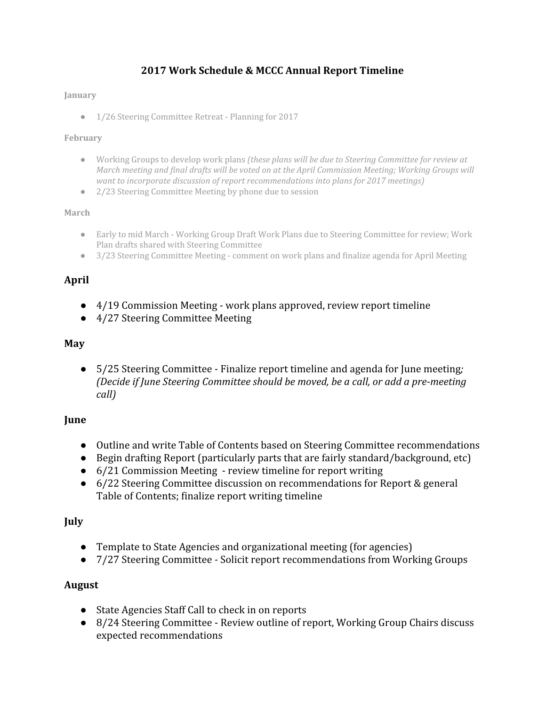# **2017 Work Schedule & MCCC Annual Report Timeline**

#### **January**

● 1/26 Steering Committee Retreat - Planning for 2017

#### **February**

- Working Groups to develop work plans *(these plans will be due to Steering Committee for review at March meeting and final drafts will be voted on at the April Commission Meeting; Working Groups will want to incorporate discussion of report recommendations into plans for 2017 meetings)*
- 2/23 Steering Committee Meeting by phone due to session

#### **March**

- Early to mid March Working Group Draft Work Plans due to Steering Committee for review; Work Plan drafts shared with Steering Committee
- 3/23 Steering Committee Meeting comment on work plans and finalize agenda for April Meeting

### **April**

- $\bullet$  4/19 Commission Meeting work plans approved, review report timeline
- 4/27 Steering Committee Meeting

### **May**

● 5/25 Steering Committee - Finalize report timeline and agenda for June meeting*; (Decide if June Steering Committee should be moved, be a call, or add a pre-meeting call)*

### **June**

- Outline and write Table of Contents based on Steering Committee recommendations
- Begin drafting Report (particularly parts that are fairly standard/background, etc)
- 6/21 Commission Meeting review timeline for report writing
- 6/22 Steering Committee discussion on recommendations for Report & general Table of Contents; finalize report writing timeline

### **July**

- Template to State Agencies and organizational meeting (for agencies)
- 7/27 Steering CommitteeSolicit report recommendations from Working Groups

### **August**

- State Agencies Staff Call to check in on reports
- 8/24 Steering Committee Review outline of report, Working Group Chairs discuss expected recommendations